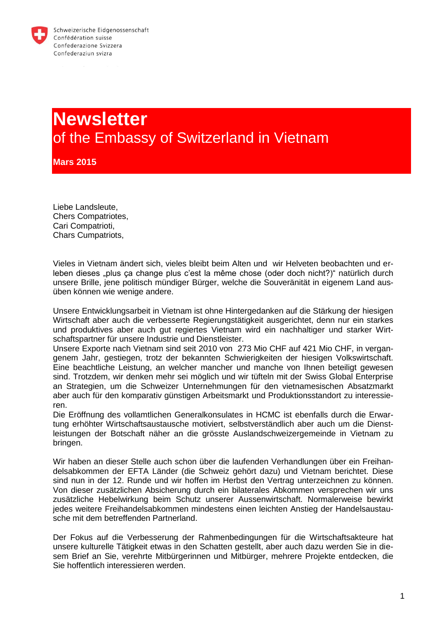

# **Newsletter** of the Embassy of Switzerland in Vietnam

**Mars 2015**

Liebe Landsleute, Chers Compatriotes, Cari Compatrioti, Chars Cumpatriots,

Vieles in Vietnam ändert sich, vieles bleibt beim Alten und wir Helveten beobachten und erleben dieses "plus ça change plus c'est la même chose (oder doch nicht?)" natürlich durch unsere Brille, jene politisch mündiger Bürger, welche die Souveränität in eigenem Land ausüben können wie wenige andere.

Unsere Entwicklungsarbeit in Vietnam ist ohne Hintergedanken auf die Stärkung der hiesigen Wirtschaft aber auch die verbesserte Regierungstätigkeit ausgerichtet, denn nur ein starkes und produktives aber auch gut regiertes Vietnam wird ein nachhaltiger und starker Wirtschaftspartner für unsere Industrie und Dienstleister.

Unsere Exporte nach Vietnam sind seit 2010 von 273 Mio CHF auf 421 Mio CHF, in vergangenem Jahr, gestiegen, trotz der bekannten Schwierigkeiten der hiesigen Volkswirtschaft. Eine beachtliche Leistung, an welcher mancher und manche von Ihnen beteiligt gewesen sind. Trotzdem, wir denken mehr sei möglich und wir tüfteln mit der Swiss Global Enterprise an Strategien, um die Schweizer Unternehmungen für den vietnamesischen Absatzmarkt aber auch für den komparativ günstigen Arbeitsmarkt und Produktionsstandort zu interessieren.

Die Eröffnung des vollamtlichen Generalkonsulates in HCMC ist ebenfalls durch die Erwartung erhöhter Wirtschaftsaustausche motiviert, selbstverständlich aber auch um die Dienstleistungen der Botschaft näher an die grösste Auslandschweizergemeinde in Vietnam zu bringen.

Wir haben an dieser Stelle auch schon über die laufenden Verhandlungen über ein Freihandelsabkommen der EFTA Länder (die Schweiz gehört dazu) und Vietnam berichtet. Diese sind nun in der 12. Runde und wir hoffen im Herbst den Vertrag unterzeichnen zu können. Von dieser zusätzlichen Absicherung durch ein bilaterales Abkommen versprechen wir uns zusätzliche Hebelwirkung beim Schutz unserer Aussenwirtschaft. Normalerweise bewirkt jedes weitere Freihandelsabkommen mindestens einen leichten Anstieg der Handelsaustausche mit dem betreffenden Partnerland.

Der Fokus auf die Verbesserung der Rahmenbedingungen für die Wirtschaftsakteure hat unsere kulturelle Tätigkeit etwas in den Schatten gestellt, aber auch dazu werden Sie in diesem Brief an Sie, verehrte Mitbürgerinnen und Mitbürger, mehrere Projekte entdecken, die Sie hoffentlich interessieren werden.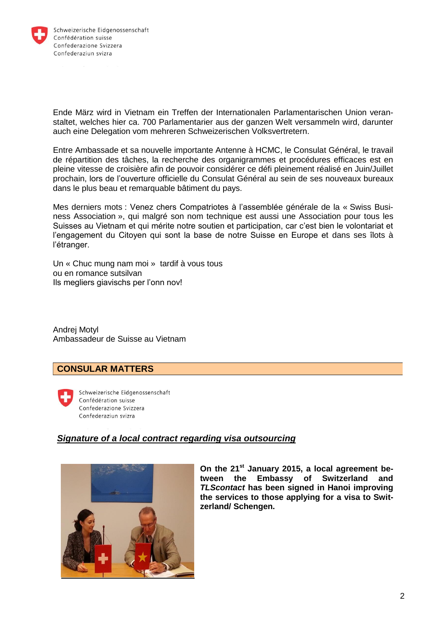

Ende März wird in Vietnam ein Treffen der Internationalen Parlamentarischen Union veranstaltet, welches hier ca. 700 Parlamentarier aus der ganzen Welt versammeln wird, darunter auch eine Delegation vom mehreren Schweizerischen Volksvertretern.

Entre Ambassade et sa nouvelle importante Antenne à HCMC, le Consulat Général, le travail de répartition des tâches, la recherche des organigrammes et procédures efficaces est en pleine vitesse de croisière afin de pouvoir considérer ce défi pleinement réalisé en Juin/Juillet prochain, lors de l'ouverture officielle du Consulat Général au sein de ses nouveaux bureaux dans le plus beau et remarquable bâtiment du pays.

Mes derniers mots : Venez chers Compatriotes à l'assemblée générale de la « Swiss Business Association », qui malgré son nom technique est aussi une Association pour tous les Suisses au Vietnam et qui mérite notre soutien et participation, car c'est bien le volontariat et l'engagement du Citoyen qui sont la base de notre Suisse en Europe et dans ses îlots à l'étranger.

Un « Chuc mung nam moi » tardif à vous tous ou en romance sutsilvan Ils megliers giavischs per l'onn nov!

Andrej Motyl Ambassadeur de Suisse au Vietnam

# **CONSULAR MATTERS**



Schweizerische Eidgenossenschaft Confédération suisse Confederazione Svizzera Confederaziun svizra

# *Signature of a local contract regarding visa outsourcing*



**On the 21st January 2015, a local agreement between the Embassy of Switzerland and**  *TLScontact* **has been signed in Hanoi improving the services to those applying for a visa to Switzerland/ Schengen.**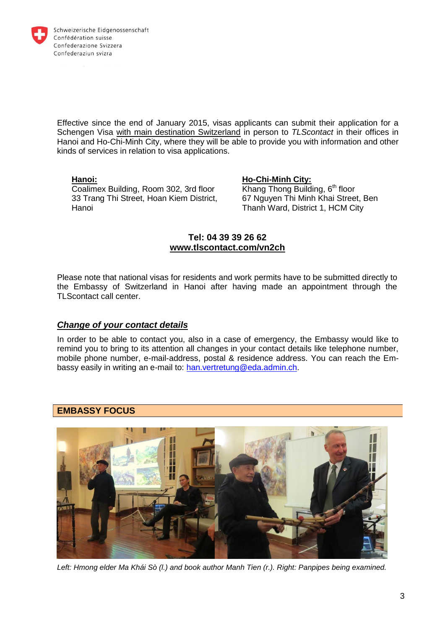

Effective since the end of January 2015, visas applicants can submit their application for a Schengen Visa with main destination Switzerland in person to *TLScontact* in their offices in Hanoi and Ho-Chi-Minh City, where they will be able to provide you with information and other kinds of services in relation to visa applications.

#### **Hanoi:**

Coalimex Building, Room 302, 3rd floor 33 Trang Thi Street, Hoan Kiem District, Hanoi

#### **Ho-Chi-Minh City:**

Khang Thong Building, 6<sup>th</sup> floor 67 Nguyen Thi Minh Khai Street, Ben Thanh Ward, District 1, HCM City

# **Tel: 04 39 39 26 62 www.tlscontact.com/vn2ch**

Please note that national visas for residents and work permits have to be submitted directly to the Embassy of Switzerland in Hanoi after having made an appointment through the TLScontact call center.

# *Change of your contact details*

In order to be able to contact you, also in a case of emergency, the Embassy would like to remind you to bring to its attention all changes in your contact details like telephone number, mobile phone number, e-mail-address, postal & residence address. You can reach the Embassy easily in writing an e-mail to: [han.vertretung@eda.admin.ch.](mailto:han.vertretung@eda.admin.ch)

# **EMBASSY FOCUS**



*Left: Hmong elder Ma Khái Sò (l.) and book author Manh Tien (r.). Right: Panpipes being examined.*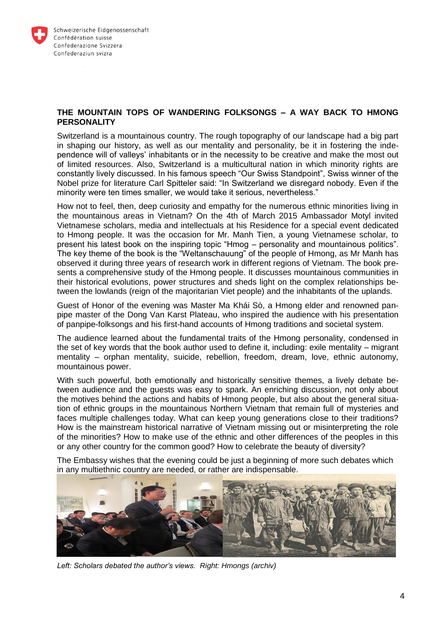

#### **THE MOUNTAIN TOPS OF WANDERING FOLKSONGS – A WAY BACK TO HMONG PERSONALITY**

Switzerland is a mountainous country. The rough topography of our landscape had a big part in shaping our history, as well as our mentality and personality, be it in fostering the independence will of valleys' inhabitants or in the necessity to be creative and make the most out of limited resources. Also, Switzerland is a multicultural nation in which minority rights are constantly lively discussed. In his famous speech "Our Swiss Standpoint", Swiss winner of the Nobel prize for literature Carl Spitteler said: "In Switzerland we disregard nobody. Even if the minority were ten times smaller, we would take it serious, nevertheless."

How not to feel, then, deep curiosity and empathy for the numerous ethnic minorities living in the mountainous areas in Vietnam? On the 4th of March 2015 Ambassador Motyl invited Vietnamese scholars, media and intellectuals at his Residence for a special event dedicated to Hmong people. It was the occasion for Mr. Manh Tien, a young Vietnamese scholar, to present his latest book on the inspiring topic "Hmog – personality and mountainous politics". The key theme of the book is the "Weltanschauung" of the people of Hmong, as Mr Manh has observed it during three years of research work in different regions of Vietnam. The book presents a comprehensive study of the Hmong people. It discusses mountainous communities in their historical evolutions, power structures and sheds light on the complex relationships between the lowlands (reign of the majoritarian Viet people) and the inhabitants of the uplands.

Guest of Honor of the evening was Master Ma Khái Sò, a Hmong elder and renowned panpipe master of the Dong Van Karst Plateau, who inspired the audience with his presentation of panpipe-folksongs and his first-hand accounts of Hmong traditions and societal system.

The audience learned about the fundamental traits of the Hmong personality, condensed in the set of key words that the book author used to define it, including: exile mentality – migrant mentality – orphan mentality, suicide, rebellion, freedom, dream, love, ethnic autonomy, mountainous power.

With such powerful, both emotionally and historically sensitive themes, a lively debate between audience and the guests was easy to spark. An enriching discussion, not only about the motives behind the actions and habits of Hmong people, but also about the general situation of ethnic groups in the mountainous Northern Vietnam that remain full of mysteries and faces multiple challenges today. What can keep young generations close to their traditions? How is the mainstream historical narrative of Vietnam missing out or misinterpreting the role of the minorities? How to make use of the ethnic and other differences of the peoples in this or any other country for the common good? How to celebrate the beauty of diversity?

The Embassy wishes that the evening could be just a beginning of more such debates which in any multiethnic country are needed, or rather are indispensable.



*Left: Scholars debated the author's views. Right: Hmongs (archiv)*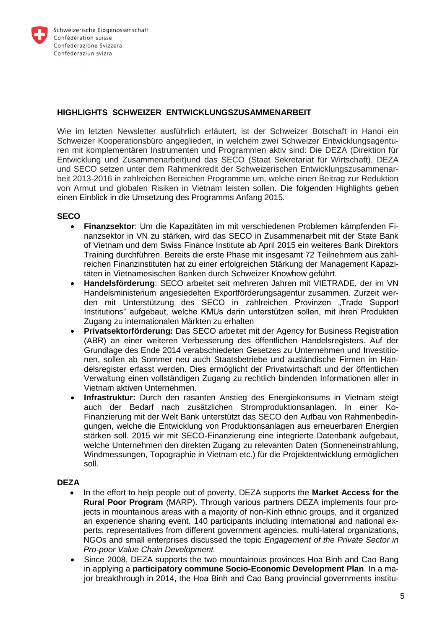

# **HIGHLIGHTS SCHWEIZER ENTWICKLUNGSZUSAMMENARBEIT**

Wie im letzten Newsletter ausführlich erläutert, ist der Schweizer Botschaft in Hanoi ein Schweizer Kooperationsbüro angegliedert, in welchem zwei Schweizer Entwicklungsagenturen mit komplementären Instrumenten und Programmen aktiv sind: Die DEZA (Direktion für Entwicklung und Zusammenarbeit)und das SECO (Staat Sekretariat für Wirtschaft). DEZA und SECO setzen unter dem Rahmenkredit der Schweizerischen Entwicklungszusammenarbeit 2013-2016 in zahlreichen Bereichen Programme um, welche einen Beitrag zur Reduktion von Armut und globalen Risiken in Vietnam leisten sollen. Die folgenden Highlights geben einen Einblick in die Umsetzung des Programms Anfang 2015.

#### **SECO**

- **Finanzsektor**: Um die Kapazitäten im mit verschiedenen Problemen kämpfenden Finanzsektor in VN zu stärken, wird das SECO in Zusammenarbeit mit der State Bank of Vietnam und dem Swiss Finance Institute ab April 2015 ein weiteres Bank Direktors Training durchführen. Bereits die erste Phase mit insgesamt 72 Teilnehmern aus zahlreichen Finanzinstituten hat zu einer erfolgreichen Stärkung der Management Kapazitäten in Vietnamesischen Banken durch Schweizer Knowhow geführt.
- **Handelsförderung**: SECO arbeitet seit mehreren Jahren mit VIETRADE, der im VN Handelsministerium angesiedelten Exportförderungsagentur zusammen. Zurzeit werden mit Unterstützung des SECO in zahlreichen Provinzen "Trade Support Institutions" aufgebaut, welche KMUs darin unterstützen sollen, mit ihren Produkten Zugang zu internationalen Märkten zu erhalten
- **Privatsektorförderung:** Das SECO arbeitet mit der Agency for Business Registration (ABR) an einer weiteren Verbesserung des öffentlichen Handelsregisters. Auf der Grundlage des Ende 2014 verabschiedeten Gesetzes zu Unternehmen und Investitionen, sollen ab Sommer neu auch Staatsbetriebe und ausländische Firmen im Handelsregister erfasst werden. Dies ermöglicht der Privatwirtschaft und der öffentlichen Verwaltung einen vollständigen Zugang zu rechtlich bindenden Informationen aller in Vietnam aktiven Unternehmen.
- **Infrastruktur:** Durch den rasanten Anstieg des Energiekonsums in Vietnam steigt auch der Bedarf nach zusätzlichen Stromproduktionsanlagen. In einer Ko-Finanzierung mit der Welt Bank unterstützt das SECO den Aufbau von Rahmenbedingungen, welche die Entwicklung von Produktionsanlagen aus erneuerbaren Energien stärken soll. 2015 wir mit SECO-Finanzierung eine integrierte Datenbank aufgebaut, welche Unternehmen den direkten Zugang zu relevanten Daten (Sonneneinstrahlung, Windmessungen, Topographie in Vietnam etc.) für die Projektentwicklung ermöglichen soll.

# **DEZA**

- In the effort to help people out of poverty, DEZA supports the **Market Access for the Rural Poor Program** (MARP). Through various partners DEZA implements four projects in mountainous areas with a majority of non-Kinh ethnic groups, and it organized an experience sharing event. 140 participants including international and national experts, representatives from different government agencies, multi-lateral organizations, NGOs and small enterprises discussed the topic *Engagement of the Private Sector in Pro-poor Value Chain Development.*
- Since 2008, DEZA supports the two mountainous provinces Hoa Binh and Cao Bang in applying a **participatory commune Socio-Economic Development Plan**. In a major breakthrough in 2014, the Hoa Binh and Cao Bang provincial governments institu-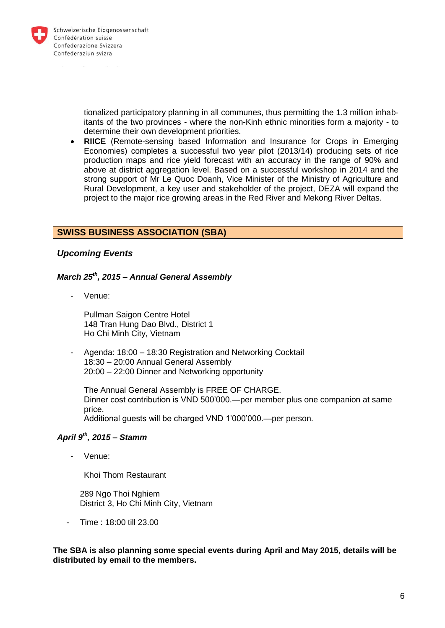

tionalized participatory planning in all communes, thus permitting the 1.3 million inhabitants of the two provinces - where the non-Kinh ethnic minorities form a majority - to determine their own development priorities.

 **RIICE** (Remote-sensing based Information and Insurance for Crops in Emerging Economies) completes a successful two year pilot (2013/14) producing sets of rice production maps and rice yield forecast with an accuracy in the range of 90% and above at district aggregation level. Based on a successful workshop in 2014 and the strong support of Mr Le Quoc Doanh, Vice Minister of the Ministry of Agriculture and Rural Development, a key user and stakeholder of the project, DEZA will expand the project to the major rice growing areas in the Red River and Mekong River Deltas.

# **SWISS BUSINESS ASSOCIATION (SBA)**

# *Upcoming Events*

#### *March 25th, 2015 – Annual General Assembly*

- Venue:

Pullman Saigon Centre Hotel 148 Tran Hung Dao Blvd., District 1 Ho Chi Minh City, Vietnam

- Agenda: 18:00 – 18:30 Registration and Networking Cocktail 18:30 – 20:00 Annual General Assembly 20:00 – 22:00 Dinner and Networking opportunity

The Annual General Assembly is FREE OF CHARGE. Dinner cost contribution is VND 500'000.—per member plus one companion at same price. Additional guests will be charged VND 1'000'000.—per person.

#### *April 9th, 2015 – Stamm*

- Venue:

Khoi Thom Restaurant

289 Ngo Thoi Nahiem District 3, Ho Chi Minh City, Vietnam

- Time : 18:00 till 23.00

**The SBA is also planning some special events during April and May 2015, details will be distributed by email to the members.**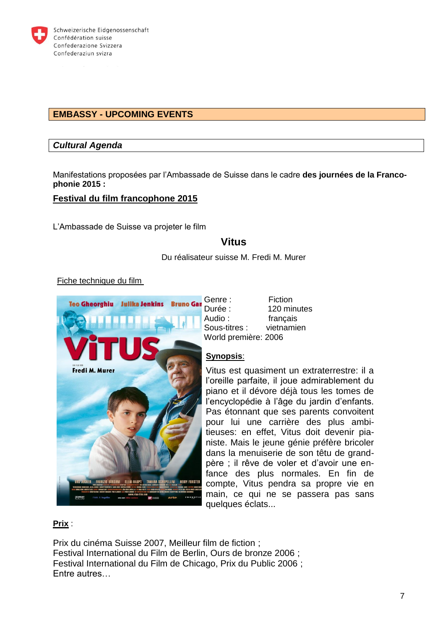

# **EMBASSY - UPCOMING EVENTS**

# *Cultural Agenda*

Manifestations proposées par l'Ambassade de Suisse dans le cadre **des journées de la Francophonie 2015 :**

# **Festival du film francophone 2015**

L'Ambassade de Suisse va projeter le film

# **Vitus**

Du réalisateur suisse M. Fredi M. Murer

#### Fiche technique du film



Genre : Fiction Durée : 120 minutes Audio : français Sous-titres : vietnamien World première: 2006

#### **Synopsis**:

Vitus est quasiment un extraterrestre: il a l'oreille parfaite, il joue admirablement du piano et il dévore déjà tous les tomes de l'encyclopédie à l'âge du jardin d'enfants. Pas étonnant que ses parents convoitent pour lui une carrière des plus ambitieuses: en effet, Vitus doit devenir pianiste. Mais le jeune génie préfère bricoler dans la menuiserie de son têtu de grandpère ; il rêve de voler et d'avoir une enfance des plus normales. En fin de compte, Vitus pendra sa propre vie en main, ce qui ne se passera pas sans quelques éclats...

#### **Prix** :

Prix du cinéma Suisse 2007, Meilleur film de fiction ; Festival International du Film de Berlin, Ours de bronze 2006 ; Festival International du Film de Chicago, Prix du Public 2006 ; Entre autres…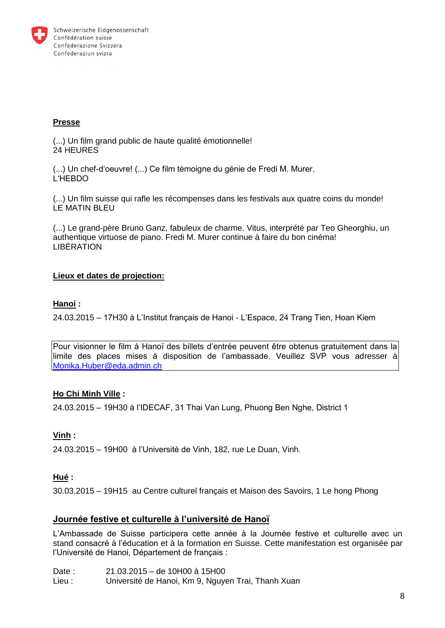

# **Presse**

(...) Un film grand public de haute qualité émotionnelle! 24 HEURES

(...) Un chef-d'oeuvre! (...) Ce film témoigne du génie de Fredi M. Murer. L'HEBDO

(...) Un film suisse qui rafle les récompenses dans les festivals aux quatre coins du monde! LE MATIN BLEU

(...) Le grand-père Bruno Ganz, fabuleux de charme. Vitus, interprété par Teo Gheorghiu, un authentique virtuose de piano. Fredi M. Murer continue à faire du bon cinéma! LIBÉRATION

# **Lieux et dates de projection:**

#### **Hanoi :**

24.03.2015 – 17H30 à L'Institut français de Hanoi - L'Espace, 24 Trang Tien, Hoan Kiem

Pour visionner le film à Hanoï des billets d'entrée peuvent être obtenus gratuitement dans la limite des places mises à disposition de l'ambassade. Veuillez SVP vous adresser à [Monika.Huber@eda.admin.ch](mailto:Zita.Ballaman@eda.admin.ch)

# **Ho Chi Minh Ville :**

24.03.2015 – 19H30 à l'IDECAF, 31 Thai Van Lung, Phuong Ben Nghe, District 1

#### **Vinh :**

24.03.2015 – 19H00 à l'Université de Vinh, 182, rue Le Duan, Vinh.

# **Hué :**

30.03.2015 – 19H15 au Centre culturel français et Maison des Savoirs, 1 Le hong Phong

# **Journée festive et culturelle à l'université de Hanoï**

L'Ambassade de Suisse participera cette année à la Journée festive et culturelle avec un stand consacré à l'éducation et à la formation en Suisse. Cette manifestation est organisée par l'Université de Hanoi, Département de français :

Date : 21.03.2015 – de 10H00 à 15H00 Lieu : Université de Hanoi, Km 9, Nguyen Trai, Thanh Xuan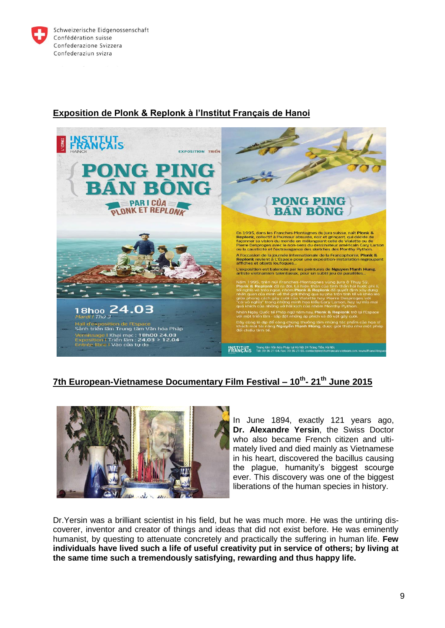



# **Exposition de Plonk & Replonk à l'Institut Français de Hanoi**

# **7th European-Vietnamese Documentary Film Festival – 10th - 21th June 2015**



[I](http://www.lacote.ch/multimedia/images/img_traitees/2013/09/yersin_vietnam_zoom945.jpg)n June 1894, exactly 121 years ago, **Dr. Alexandre Yersin**, the Swiss Doctor who also became French citizen and ultimately lived and died mainly as Vietnamese in his heart, discovered the bacillus causing the plague, humanity's biggest scourge ever. This discovery was one of the biggest liberations of the human species in history.

Dr.Yersin was a brilliant scientist in his field, but he was much more. He was the untiring discoverer, inventor and creator of things and ideas that did not exist before. He was eminently humanist, by questing to attenuate concretely and practically the suffering in human life. **Few individuals have lived such a life of useful creativity put in service of others; by living at the same time such a tremendously satisfying, rewarding and thus happy life.**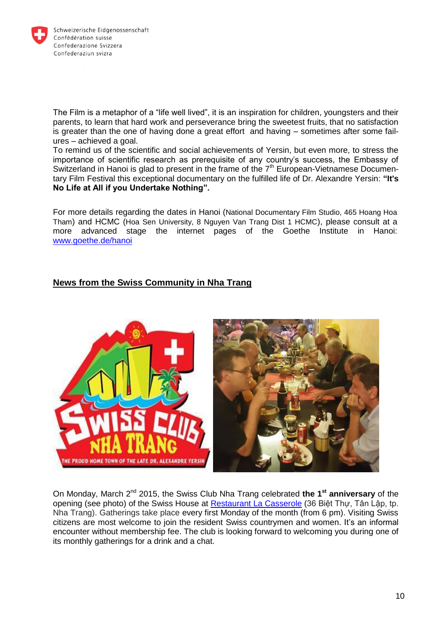

The Film is a metaphor of a "life well lived", it is an inspiration for children, youngsters and their parents, to learn that hard work and perseverance bring the sweetest fruits, that no satisfaction is greater than the one of having done a great effort and having – sometimes after some failures – achieved a goal.

To remind us of the scientific and social achievements of Yersin, but even more, to stress the importance of scientific research as prerequisite of any country's success, the Embassy of Switzerland in Hanoi is glad to present in the frame of the 7<sup>th</sup> European-Vietnamese Documentary Film Festival this exceptional documentary on the fulfilled life of Dr. Alexandre Yersin: **"It's No Life at All if you Undertake Nothing".**

For more details regarding the dates in Hanoi (National Documentary Film Studio, 465 Hoang Hoa Tham) and HCMC (Hoa Sen University, 8 Nguyen Van Trang Dist 1 HCMC), please consult at a more advanced stage the internet pages of the Goethe Institute in Hanoi: [www.goethe.de/hanoi](http://www.goethe.de/hanoi)

# **News from the Swiss Community in Nha Trang**



On Monday, March 2nd 2015, the Swiss Club Nha Trang celebrated **the 1st anniversary** of the opening (see photo) of the Swiss House at [Restaurant La Casserole](http://restaurant-lacasserole.webnode.com/) (36 Biệt Thự, Tân Lập, tp. Nha Trang). Gatherings take place every first Monday of the month (from 6 pm). Visiting Swiss citizens are most welcome to join the resident Swiss countrymen and women. It's an informal encounter without membership fee. The club is looking forward to welcoming you during one of its monthly gatherings for a drink and a chat.